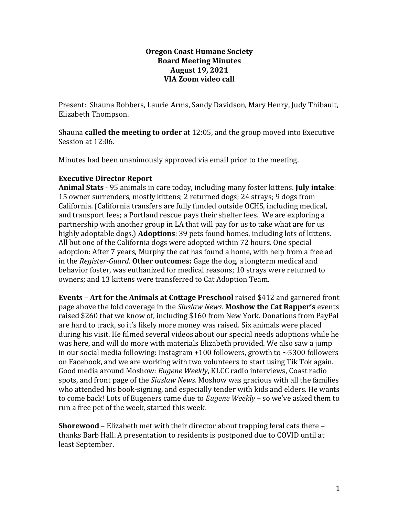## **Oregon Coast Humane Society Board Meeting Minutes August 19, 2021 VIA Zoom video call**

Present: Shauna Robbers, Laurie Arms, Sandy Davidson, Mary Henry, Judy Thibault, Elizabeth Thompson.

Shauna **called the meeting to order** at 12:05, and the group moved into Executive Session at 12:06.

Minutes had been unanimously approved via email prior to the meeting.

## **Executive Director Report**

**Animal Stats** - 95 animals in care today, including many foster kittens. **July intake**: 15 owner surrenders, mostly kittens; 2 returned dogs; 24 strays; 9 dogs from California. (California transfers are fully funded outside OCHS, including medical, and transport fees; a Portland rescue pays their shelter fees. We are exploring a partnership with another group in LA that will pay for us to take what are for us highly adoptable dogs.) **Adoptions**: 39 pets found homes, including lots of kittens. All but one of the California dogs were adopted within 72 hours. One special adoption: After 7 years, Murphy the cat has found a home, with help from a free ad in the *Register-Guard*. **Other outcomes:** Gage the dog, a longterm medical and behavior foster, was euthanized for medical reasons; 10 strays were returned to owners; and 13 kittens were transferred to Cat Adoption Team.

**Events** – **Art for the Animals at Cottage Preschool** raised \$412 and garnered front page above the fold coverage in the *Siuslaw News*. **Moshow the Cat Rapper's** events raised \$260 that we know of, including \$160 from New York. Donations from PayPal are hard to track, so it's likely more money was raised. Six animals were placed during his visit. He filmed several videos about our special needs adoptions while he was here, and will do more with materials Elizabeth provided. We also saw a jump in our social media following: Instagram  $+100$  followers, growth to  $\sim$  5300 followers on Facebook, and we are working with two volunteers to start using Tik Tok again. Good media around Moshow: *Eugene Weekly*, KLCC radio interviews, Coast radio spots, and front page of the *Siuslaw News*. Moshow was gracious with all the families who attended his book-signing, and especially tender with kids and elders. He wants to come back! Lots of Eugeners came due to *Eugene Weekly* – so we've asked them to run a free pet of the week, started this week.

**Shorewood** – Elizabeth met with their director about trapping feral cats there – thanks Barb Hall. A presentation to residents is postponed due to COVID until at least September.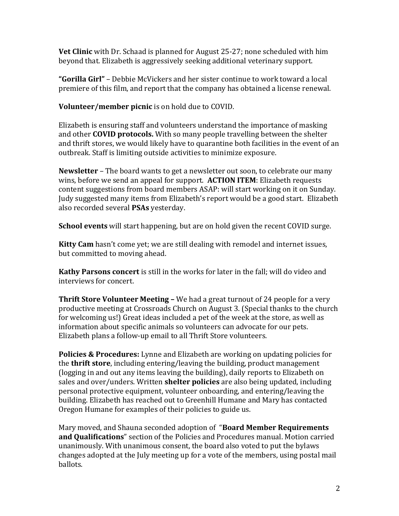**Vet Clinic** with Dr. Schaad is planned for August 25-27; none scheduled with him beyond that. Elizabeth is aggressively seeking additional veterinary support.

**"Gorilla Girl"** – Debbie McVickers and her sister continue to work toward a local premiere of this film, and report that the company has obtained a license renewal.

**Volunteer/member picnic** is on hold due to COVID.

Elizabeth is ensuring staff and volunteers understand the importance of masking and other **COVID protocols.** With so many people travelling between the shelter and thrift stores, we would likely have to quarantine both facilities in the event of an outbreak. Staff is limiting outside activities to minimize exposure.

**Newsletter** – The board wants to get a newsletter out soon, to celebrate our many wins, before we send an appeal for support. **ACTION ITEM**: Elizabeth requests content suggestions from board members ASAP: will start working on it on Sunday. Judy suggested many items from Elizabeth's report would be a good start. Elizabeth also recorded several **PSAs** yesterday.

**School events** will start happening, but are on hold given the recent COVID surge.

**Kitty Cam** hasn't come yet; we are still dealing with remodel and internet issues, but committed to moving ahead.

**Kathy Parsons concert** is still in the works for later in the fall; will do video and interviews for concert.

**Thrift Store Volunteer Meeting –** We had a great turnout of 24 people for a very productive meeting at Crossroads Church on August 3. (Special thanks to the church for welcoming us!) Great ideas included a pet of the week at the store, as well as information about specific animals so volunteers can advocate for our pets. Elizabeth plans a follow-up email to all Thrift Store volunteers.

**Policies & Procedures:** Lynne and Elizabeth are working on updating policies for the **thrift store**, including entering/leaving the building, product management (logging in and out any items leaving the building), daily reports to Elizabeth on sales and over/unders. Written **shelter policies** are also being updated, including personal protective equipment, volunteer onboarding, and entering/leaving the building. Elizabeth has reached out to Greenhill Humane and Mary has contacted Oregon Humane for examples of their policies to guide us.

Mary moved, and Shauna seconded adoption of "**Board Member Requirements and Qualifications**" section of the Policies and Procedures manual. Motion carried unanimously. With unanimous consent, the board also voted to put the bylaws changes adopted at the July meeting up for a vote of the members, using postal mail ballots.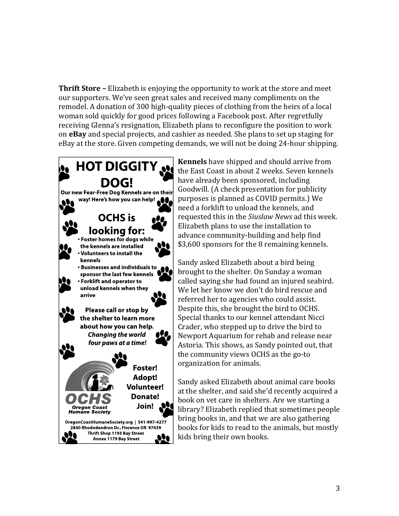**Thrift Store –** Elizabeth is enjoying the opportunity to work at the store and meet our supporters. We've seen great sales and received many compliments on the remodel. A donation of 300 high-quality pieces of clothing from the heirs of a local woman sold quickly for good prices following a Facebook post. After regretfully receiving Glenna's resignation, Elizabeth plans to reconfigure the position to work on **eBay** and special projects, and cashier as needed. She plans to set up staging for eBay at the store. Given competing demands, we will not be doing 24-hour shipping.



**Kennels** have shipped and should arrive from the East Coast in about 2 weeks. Seven kennels have already been sponsored, including Goodwill. (A check presentation for publicity purposes is planned as COVID permits.) We need a forklift to unload the kennels, and requested this in the *Siuslaw News* ad this week. Elizabeth plans to use the installation to advance community-building and help find \$3,600 sponsors for the 8 remaining kennels.

Sandy asked Elizabeth about a bird being brought to the shelter. On Sunday a woman called saying she had found an injured seabird. We let her know we don't do bird rescue and referred her to agencies who could assist. Despite this, she brought the bird to OCHS. Special thanks to our kennel attendant Nicci Crader, who stepped up to drive the bird to Newport Aquarium for rehab and release near Astoria. This shows, as Sandy pointed out, that the community views OCHS as the go-to organization for animals.

Sandy asked Elizabeth about animal care books at the shelter, and said she'd recently acquired a book on vet care in shelters. Are we starting a library? Elizabeth replied that sometimes people bring books in, and that we are also gathering books for kids to read to the animals, but mostly kids bring their own books.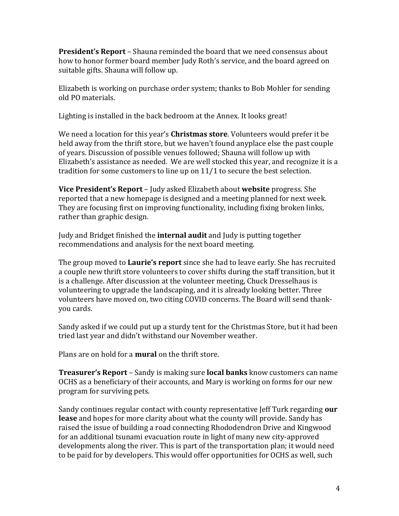**President's Report** – Shauna reminded the board that we need consensus about how to honor former board member Judy Roth's service, and the board agreed on suitable gifts. Shauna will follow up.

Elizabeth is working on purchase order system; thanks to Bob Mohler for sending old PO materials.

Lighting is installed in the back bedroom at the Annex. It looks great!

We need a location for this year's **Christmas store**. Volunteers would prefer it be held away from the thrift store, but we haven't found anyplace else the past couple of years. Discussion of possible venues followed; Shauna will follow up with Elizabeth's assistance as needed. We are well stocked this year, and recognize it is a tradition for some customers to line up on 11/1 to secure the best selection.

**Vice President's Report** – Judy asked Elizabeth about **website** progress. She reported that a new homepage is designed and a meeting planned for next week. They are focusing first on improving functionality, including fixing broken links, rather than graphic design.

Judy and Bridget finished the **internal audit** and Judy is putting together recommendations and analysis for the next board meeting.

The group moved to **Laurie's report** since she had to leave early. She has recruited a couple new thrift store volunteers to cover shifts during the staff transition, but it is a challenge. After discussion at the volunteer meeting, Chuck Dresselhaus is volunteering to upgrade the landscaping, and it is already looking better. Three volunteers have moved on, two citing COVID concerns. The Board will send thankyou cards.

Sandy asked if we could put up a sturdy tent for the Christmas Store, but it had been tried last year and didn't withstand our November weather.

Plans are on hold for a **mural** on the thrift store.

**Treasurer's Report** – Sandy is making sure **local banks** know customers can name OCHS as a beneficiary of their accounts, and Mary is working on forms for our new program for surviving pets.

Sandy continues regular contact with county representative Jeff Turk regarding **our lease** and hopes for more clarity about what the county will provide. Sandy has raised the issue of building a road connecting Rhododendron Drive and Kingwood for an additional tsunami evacuation route in light of many new city-approved developments along the river. This is part of the transportation plan; it would need to be paid for by developers. This would offer opportunities for OCHS as well, such